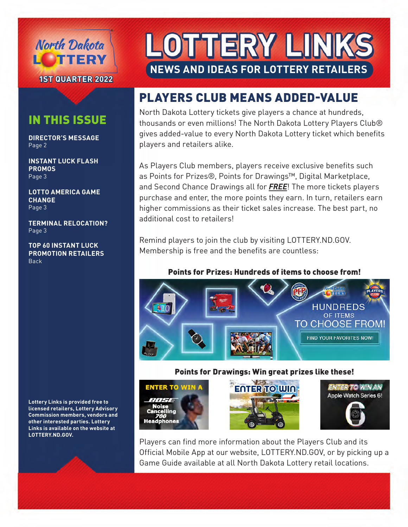

**1ST QUARTER 2022**

### IN THIS ISSUE

**DIRECTOR'S MESSAGE** Page 2

**INSTANT LUCK FLASH PROMOS** Page 3

**LOTTO AMERICA GAME CHANGE** Page 3

**TERMINAL RELOCATION?** Page 3

**TOP 60 INSTANT LUCK PROMOTION RETAILERS** Back

**Lottery Links is provided free to licensed retailers, Lottery Advisory Commission members, vendors and other interested parties. Lottery Links is available on the website at LOTTERY.ND.GOV.**

# OTTERY LIN **NEWS AND IDEAS FOR LOTTERY RETAILERS**

## PLAYERS CLUB MEANS ADDED-VALUE

North Dakota Lottery tickets give players a chance at hundreds, thousands or even millions! The North Dakota Lottery Players Club® gives added-value to every North Dakota Lottery ticket which benefits players and retailers alike.

As Players Club members, players receive exclusive benefits such as Points for Prizes®, Points for Drawings™, Digital Marketplace, and Second Chance Drawings all for *FREE*! The more tickets players purchase and enter, the more points they earn. In turn, retailers earn higher commissions as their ticket sales increase. The best part, no additional cost to retailers!

Remind players to join the club by visiting LOTTERY.ND.GOV. Membership is free and the benefits are countless:

#### Points for Prizes: Hundreds of items to choose from!



#### Points for Drawings: Win great prizes like these!







Players can find more information about the Players Club and its Official Mobile App at our website, LOTTERY.ND.GOV, or by picking up a Game Guide available at all North Dakota Lottery retail locations.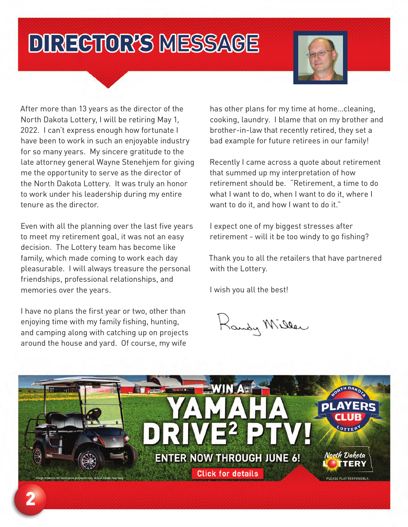# **DIREGTOR'S MESSAGE**



After more than 13 years as the director of the North Dakota Lottery, I will be retiring May 1, 2022. I can't express enough how fortunate I have been to work in such an enjoyable industry for so many years. My sincere gratitude to the late attorney general Wayne Stenehjem for giving me the opportunity to serve as the director of the North Dakota Lottery. It was truly an honor to work under his leadership during my entire tenure as the director.

Even with all the planning over the last five years to meet my retirement goal, it was not an easy decision. The Lottery team has become like family, which made coming to work each day pleasurable. I will always treasure the personal friendships, professional relationships, and memories over the years.

I have no plans the first year or two, other than enjoying time with my family fishing, hunting, and camping along with catching up on projects around the house and yard. Of course, my wife

has other plans for my time at home…cleaning, cooking, laundry. I blame that on my brother and brother-in-law that recently retired, they set a bad example for future retirees in our family!

Recently I came across a quote about retirement that summed up my interpretation of how retirement should be. "Retirement, a time to do what I want to do, when I want to do it, where I want to do it, and how I want to do it."

I expect one of my biggest stresses after retirement - will it be too windy to go fishing?

Thank you to all the retailers that have partnered with the Lottery.

I wish you all the best!

Landy Miller

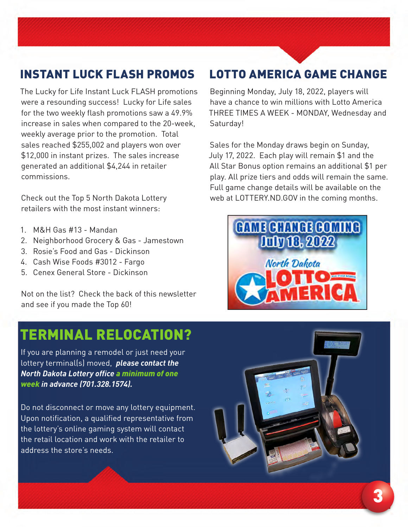## INSTANT LUCK FLASH PROMOS

The Lucky for Life Instant Luck FLASH promotions were a resounding success! Lucky for Life sales for the two weekly flash promotions saw a 49.9% increase in sales when compared to the 20-week, weekly average prior to the promotion. Total sales reached \$255,002 and players won over \$12,000 in instant prizes. The sales increase generated an additional \$4,244 in retailer commissions.

Check out the Top 5 North Dakota Lottery retailers with the most instant winners:

- 1. M&H Gas #13 Mandan
- 2. Neighborhood Grocery & Gas Jamestown
- 3. Rosie's Food and Gas Dickinson
- 4. Cash Wise Foods #3012 Fargo
- 5. Cenex General Store Dickinson

Not on the list? Check the back of this newsletter and see if you made the Top 60!

## TERMINAL RELOCATION?

If you are planning a remodel or just need your lottery terminal(s) moved, *please contact the North Dakota Lottery office a minimum of one week in advance (701.328.1574).*

Do not disconnect or move any lottery equipment. Upon notification, a qualified representative from the lottery's online gaming system will contact the retail location and work with the retailer to address the store's needs.

### LOTTO AMERICA GAME CHANGE

Beginning Monday, July 18, 2022, players will have a chance to win millions with Lotto America THREE TIMES A WEEK - MONDAY, Wednesday and Saturday!

Sales for the Monday draws begin on Sunday, July 17, 2022. Each play will remain \$1 and the All Star Bonus option remains an additional \$1 per play. All prize tiers and odds will remain the same. Full game change details will be available on the web at LOTTERY.ND.GOV in the coming months.